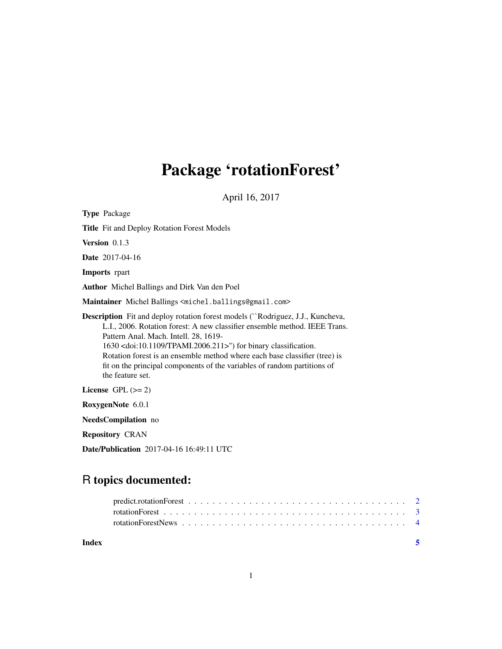# Package 'rotationForest'

April 16, 2017

| <b>Type Package</b>                                                                                                                                                                                                                                                                                                                                                                                                                                                              |  |  |  |
|----------------------------------------------------------------------------------------------------------------------------------------------------------------------------------------------------------------------------------------------------------------------------------------------------------------------------------------------------------------------------------------------------------------------------------------------------------------------------------|--|--|--|
| <b>Title</b> Fit and Deploy Rotation Forest Models                                                                                                                                                                                                                                                                                                                                                                                                                               |  |  |  |
| <b>Version</b> $0.1.3$                                                                                                                                                                                                                                                                                                                                                                                                                                                           |  |  |  |
| <b>Date</b> 2017-04-16                                                                                                                                                                                                                                                                                                                                                                                                                                                           |  |  |  |
| <b>Imports</b> rpart                                                                                                                                                                                                                                                                                                                                                                                                                                                             |  |  |  |
| <b>Author</b> Michel Ballings and Dirk Van den Poel                                                                                                                                                                                                                                                                                                                                                                                                                              |  |  |  |
| Maintainer Michel Ballings <michel.ballings@gmail.com></michel.ballings@gmail.com>                                                                                                                                                                                                                                                                                                                                                                                               |  |  |  |
| <b>Description</b> Fit and deploy rotation forest models ("Rodriguez, J.J., Kuncheva,<br>L.I., 2006. Rotation forest: A new classifier ensemble method. IEEE Trans.<br>Pattern Anal. Mach. Intell. 28, 1619-<br>1630 <doi:10.1109 tpami.2006.211="">") for binary classification.<br/>Rotation forest is an ensemble method where each base classifier (tree) is<br/>fit on the principal components of the variables of random partitions of<br/>the feature set.</doi:10.1109> |  |  |  |
| License GPL $(>= 2)$                                                                                                                                                                                                                                                                                                                                                                                                                                                             |  |  |  |
| RoxygenNote 6.0.1                                                                                                                                                                                                                                                                                                                                                                                                                                                                |  |  |  |
| <b>NeedsCompilation</b> no                                                                                                                                                                                                                                                                                                                                                                                                                                                       |  |  |  |
| <b>Repository CRAN</b>                                                                                                                                                                                                                                                                                                                                                                                                                                                           |  |  |  |

Date/Publication 2017-04-16 16:49:11 UTC

# R topics documented:

| Index |  |
|-------|--|
|       |  |
|       |  |
|       |  |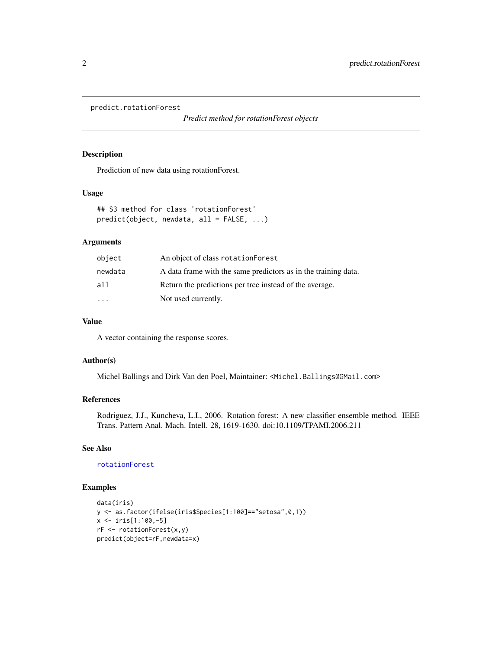```
predict.rotationForest
```
*Predict method for rotationForest objects*

#### Description

Prediction of new data using rotationForest.

# Usage

```
## S3 method for class 'rotationForest'
predict(object, newdata, all = FALSE, ...)
```
#### Arguments

| object                  | An object of class rotation Forest                             |
|-------------------------|----------------------------------------------------------------|
| newdata                 | A data frame with the same predictors as in the training data. |
| all                     | Return the predictions per tree instead of the average.        |
| $\cdot$ $\cdot$ $\cdot$ | Not used currently.                                            |

#### Value

A vector containing the response scores.

#### Author(s)

Michel Ballings and Dirk Van den Poel, Maintainer: <Michel.Ballings@GMail.com>

#### References

Rodriguez, J.J., Kuncheva, L.I., 2006. Rotation forest: A new classifier ensemble method. IEEE Trans. Pattern Anal. Mach. Intell. 28, 1619-1630. doi:10.1109/TPAMI.2006.211

### See Also

#### [rotationForest](#page-2-1)

### Examples

```
data(iris)
y <- as.factor(ifelse(iris$Species[1:100]=="setosa",0,1))
x <- iris[1:100,-5]
rF <- rotationForest(x,y)
predict(object=rF,newdata=x)
```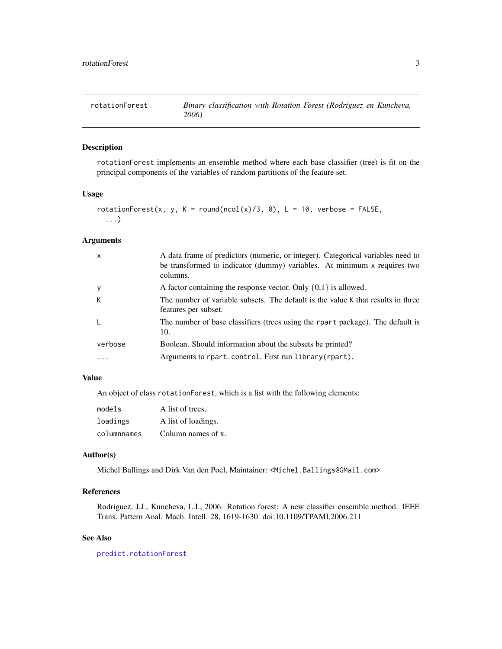<span id="page-2-1"></span><span id="page-2-0"></span>

## Description

rotationForest implements an ensemble method where each base classifier (tree) is fit on the principal components of the variables of random partitions of the feature set.

### Usage

```
rotationForest(x, y, K = round(ncol(x)/3, 0), L = 10, verbose = FALSE,
  ...)
```
### Arguments

| $\mathsf{x}$ | A data frame of predictors (numeric, or integer). Categorical variables need to<br>be transformed to indicator (dummy) variables. At minimum x requires two<br>columns. |
|--------------|-------------------------------------------------------------------------------------------------------------------------------------------------------------------------|
| $\mathbf{y}$ | A factor containing the response vector. Only $\{0,1\}$ is allowed.                                                                                                     |
| К            | The number of variable subsets. The default is the value K that results in three<br>features per subset.                                                                |
| L            | The number of base classifiers (trees using the rpart package). The default is<br>10.                                                                                   |
| verbose      | Boolean. Should information about the subsets be printed?                                                                                                               |
|              | Arguments to rpart.control. First run library (rpart).                                                                                                                  |

# Value

An object of class rotationForest, which is a list with the following elements:

| models      | A list of trees.    |
|-------------|---------------------|
| loadings    | A list of loadings. |
| columnnames | Column names of x.  |

#### Author(s)

Michel Ballings and Dirk Van den Poel, Maintainer: <Michel.Ballings@GMail.com>

# References

Rodriguez, J.J., Kuncheva, L.I., 2006. Rotation forest: A new classifier ensemble method. IEEE Trans. Pattern Anal. Mach. Intell. 28, 1619-1630. doi:10.1109/TPAMI.2006.211

#### See Also

[predict.rotationForest](#page-1-1)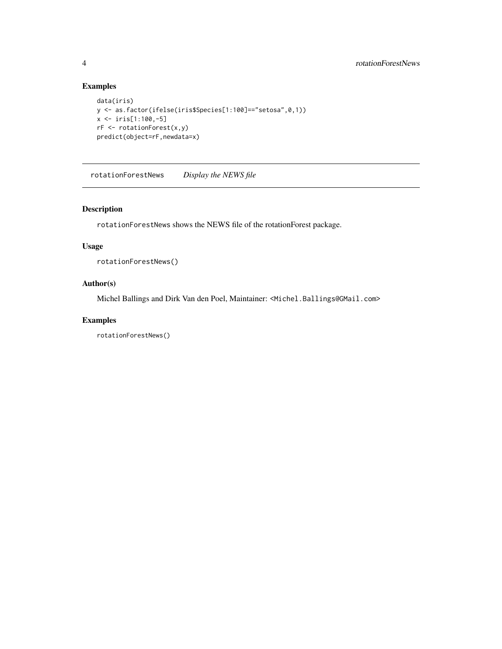# Examples

```
data(iris)
y <- as.factor(ifelse(iris$Species[1:100]=="setosa",0,1))
x \le -iris[1:100, -5]rF <- rotationForest(x,y)
predict(object=rF,newdata=x)
```
rotationForestNews *Display the NEWS file*

# Description

rotationForestNews shows the NEWS file of the rotationForest package.

#### Usage

rotationForestNews()

#### Author(s)

Michel Ballings and Dirk Van den Poel, Maintainer: <Michel.Ballings@GMail.com>

#### Examples

rotationForestNews()

<span id="page-3-0"></span>